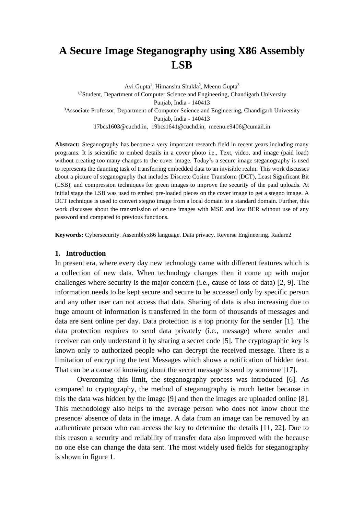# **A Secure Image Steganography using X86 Assembly LSB**

Avi Gupta<sup>1</sup>, Himanshu Shukla<sup>2</sup>, Meenu Gupta<sup>3</sup> <sup>1,2</sup>Student, Department of Computer Science and Engineering, Chandigarh University Punjab, India - 140413 <sup>3</sup>Associate Professor, Department of Computer Science and Engineering, Chandigarh University Punjab, India - 140413 [17bcs1603@cuchd.in,](mailto:17bcs1603@cuchd.in,) [19bcs1641@cuchd.in,](mailto:19bcs1641@cuchd.in,) [meenu.e9406@cumail.in](mailto:meenu.e9406@cumail.in)

**Abstract:** Steganography has become a very important research field in recent years including many programs. It is scientific to embed details in a cover photo i.e., Text, video, and image (paid load) without creating too many changes to the cover image. Today's a secure image steganography is used to represents the daunting task of transferring embedded data to an invisible realm. This work discusses about a picture of steganography that includes Discrete Cosine Transform (DCT), Least Significant Bit (LSB), and compression techniques for green images to improve the security of the paid uploads. At initial stage the LSB was used to embed pre-loaded pieces on the cover image to get a stegno image. A DCT technique is used to convert stegno image from a local domain to a standard domain. Further, this work discusses about the transmission of secure images with MSE and low BER without use of any password and compared to previous functions.

**Keywords:** Cybersecurity. Assemblyx86 language. Data privacy. Reverse Engineering. Radare2

#### **1. Introduction**

In present era, where every day new technology came with different features which is a collection of new data. When technology changes then it come up with major challenges where security is the major concern (i.e., cause of loss of data) [2, 9]. The information needs to be kept secure and secure to be accessed only by specific person and any other user can not access that data. Sharing of data is also increasing due to huge amount of information is transferred in the form of thousands of messages and data are sent online per day. Data protection is a top priority for the sender [1]. The data protection requires to send data privately (i.e., message) where sender and receiver can only understand it by sharing a secret code [5]. The cryptographic key is known only to authorized people who can decrypt the received message. There is a limitation of encrypting the text Messages which shows a notification of hidden text. That can be a cause of knowing about the secret message is send by someone [17].

Overcoming this limit, the steganography process was introduced [6]. As compared to cryptography, the method of steganography is much better because in this the data was hidden by the image [9] and then the images are uploaded online [8]. This methodology also helps to the average person who does not know about the presence/ absence of data in the image. A data from an image can be removed by an authenticate person who can access the key to determine the details [11, 22]. Due to this reason a security and reliability of transfer data also improved with the because no one else can change the data sent. The most widely used fields for steganography is shown in figure 1.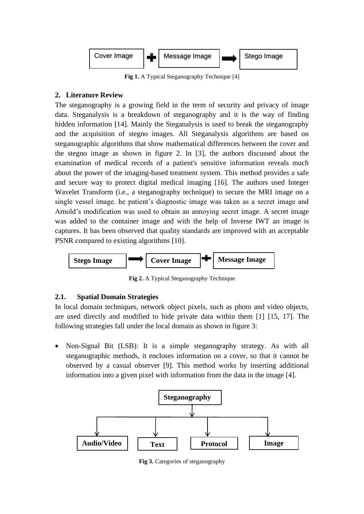

**Fig 1.** A Typical Steganography Technique [4]

# **2. Literature Review**

The steganography is a growing field in the term of security and privacy of image data. Steganalysis is a breakdown of steganography and it is the way of finding hidden information [14]. Mainly the Steganalysis is used to break the steganography and the acquisition of stegno images. All Steganalysis algorithms are based on steganographic algorithms that show mathematical differences between the cover and the stegno image as shown in figure 2. In [3], the authors discussed about the examination of medical records of a patient's sensitive information reveals much about the power of the imaging-based treatment system. This method provides a safe and secure way to protect digital medical imaging [16]. The authors used Integer Wavelet Transform (i.e., a steganography technique) to secure the MRI image on a single vessel image. he patient's diagnostic image was taken as a secret image and Arnold's modification was used to obtain an annoying secret image. A secret image was added to the container image and with the help of Inverse IWT an image is captures. It has been observed that quality standards are improved with an acceptable PSNR compared to existing algorithms [10].



**Fig 2.** A Typical Steganography Technique

# **2.1. Spatial Domain Strategies**

In local domain techniques, network object pixels, such as photo and video objects, are used directly and modified to hide private data within them [1] [15, 17]. The following strategies fall under the local domain as shown in figure 3:

• Non-Signal Bit (LSB): It is a simple steganography strategy. As with all steganographic methods, it encloses information on a cover, so that it cannot be observed by a casual observer [9]. This method works by inserting additional information into a given pixel with information from the data in the image [4].



**Fig 3.** Categories of steganography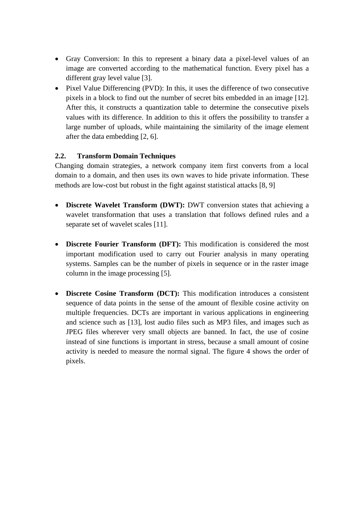- Gray Conversion: In this to represent a binary data a pixel-level values of an image are converted according to the mathematical function. Every pixel has a different gray level value [3].
- Pixel Value Differencing (PVD): In this, it uses the difference of two consecutive pixels in a block to find out the number of secret bits embedded in an image [12]. After this, it constructs a quantization table to determine the consecutive pixels values with its difference. In addition to this it offers the possibility to transfer a large number of uploads, while maintaining the similarity of the image element after the data embedding [2, 6].

## **2.2. Transform Domain Techniques**

Changing domain strategies, a network company item first converts from a local domain to a domain, and then uses its own waves to hide private information. These methods are low-cost but robust in the fight against statistical attacks [8, 9]

- **Discrete Wavelet Transform (DWT):** DWT conversion states that achieving a wavelet transformation that uses a translation that follows defined rules and a separate set of wavelet scales [11].
- **Discrete Fourier Transform (DFT):** This modification is considered the most important modification used to carry out Fourier analysis in many operating systems. Samples can be the number of pixels in sequence or in the raster image column in the image processing [5].
- **Discrete Cosine Transform (DCT):** This modification introduces a consistent sequence of data points in the sense of the amount of flexible cosine activity on multiple frequencies. DCTs are important in various applications in engineering and science such as [13], lost audio files such as MP3 files, and images such as JPEG files wherever very small objects are banned. In fact, the use of cosine instead of sine functions is important in stress, because a small amount of cosine activity is needed to measure the normal signal. The figure 4 shows the order of pixels.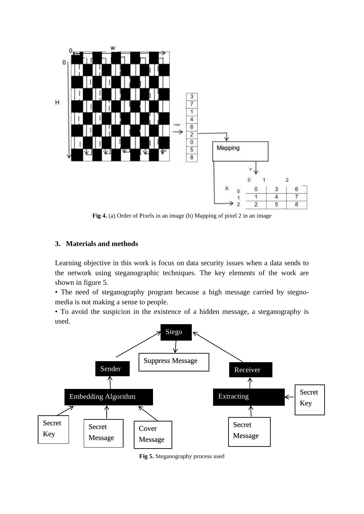

**Fig 4.** (a) Order of Pixels in an image (b) Mapping of pixel 2 in an image

#### **3. Materials and methods**

Learning objective in this work is focus on data security issues when a data sends to the network using steganographic techniques. The key elements of the work are shown in figure 5.

• The need of steganography program because a high message carried by stegnomedia is not making a sense to people.

• To avoid the suspicion in the existence of a hidden message, a steganography is used.



**Fig 5.** Steganography process used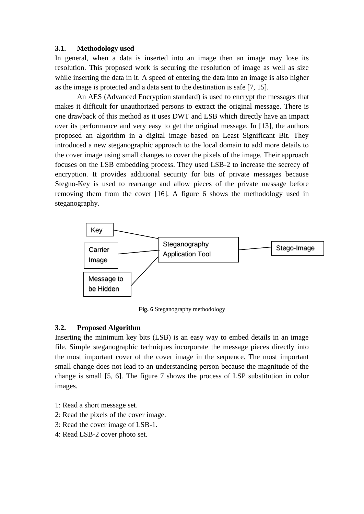#### **3.1. Methodology used**

In general, when a data is inserted into an image then an image may lose its resolution. This proposed work is securing the resolution of image as well as size while inserting the data in it. A speed of entering the data into an image is also higher as the image is protected and a data sent to the destination is safe [7, 15].

An AES (Advanced Encryption standard) is used to encrypt the messages that makes it difficult for unauthorized persons to extract the original message. There is one drawback of this method as it uses DWT and LSB which directly have an impact over its performance and very easy to get the original message. In [13], the authors proposed an algorithm in a digital image based on Least Significant Bit. They introduced a new steganographic approach to the local domain to add more details to the cover image using small changes to cover the pixels of the image. Their approach focuses on the LSB embedding process. They used LSB-2 to increase the secrecy of encryption. It provides additional security for bits of private messages because Stegno-Key is used to rearrange and allow pieces of the private message before removing them from the cover [16]. A figure 6 shows the methodology used in steganography.



**Fig. 6** Steganography methodology

## **3.2. Proposed Algorithm**

Inserting the minimum key bits (LSB) is an easy way to embed details in an image file. Simple steganographic techniques incorporate the message pieces directly into the most important cover of the cover image in the sequence. The most important small change does not lead to an understanding person because the magnitude of the change is small [5, 6]. The figure 7 shows the process of LSP substitution in color images.

- 1: Read a short message set.
- 2: Read the pixels of the cover image.
- 3: Read the cover image of LSB-1.
- 4: Read LSB-2 cover photo set.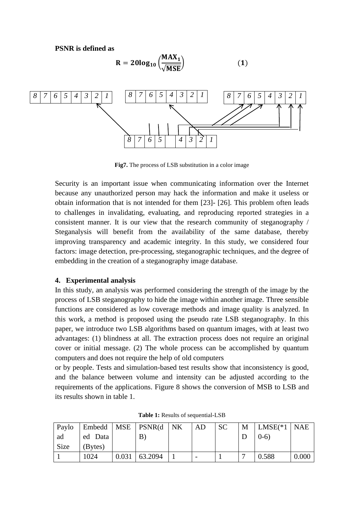**PSNR is defined as**



**Fig7.** The process of LSB substitution in a color image

Security is an important issue when communicating information over the Internet because any unauthorized person may hack the information and make it useless or obtain information that is not intended for them [23]- [26]. This problem often leads to challenges in invalidating, evaluating, and reproducing reported strategies in a consistent manner. It is our view that the research community of steganography / Steganalysis will benefit from the availability of the same database, thereby improving transparency and academic integrity. In this study, we considered four factors: image detection, pre-processing, steganographic techniques, and the degree of embedding in the creation of a steganography image database.

## **4. Experimental analysis**

In this study, an analysis was performed considering the strength of the image by the process of LSB steganography to hide the image within another image. Three sensible functions are considered as low coverage methods and image quality is analyzed. In this work, a method is proposed using the pseudo rate LSB steganography. In this paper, we introduce two LSB algorithms based on quantum images, with at least two advantages: (1) blindness at all. The extraction process does not require an original cover or initial message. (2) The whole process can be accomplished by quantum computers and does not require the help of old computers

or by people. Tests and simulation-based test results show that inconsistency is good, and the balance between volume and intensity can be adjusted according to the requirements of the applications. Figure 8 shows the conversion of MSB to LSB and its results shown in table 1.

| Paylo |         |       | $\vert$ Embedd $\vert$ MSE $\vert$ PSNR(d $\vert$ NK | AD | <sub>SC</sub> | M | $LMSE(*1) NAE$ |       |
|-------|---------|-------|------------------------------------------------------|----|---------------|---|----------------|-------|
| ad    | ed Data |       | B                                                    |    |               |   | $(0-6)$        |       |
| Size  | (Bytes) |       |                                                      |    |               |   |                |       |
|       | 1024    | 0.031 | 63.2094                                              |    |               |   | 0.588          | 0.000 |

**Table 1:** Results of sequential-LSB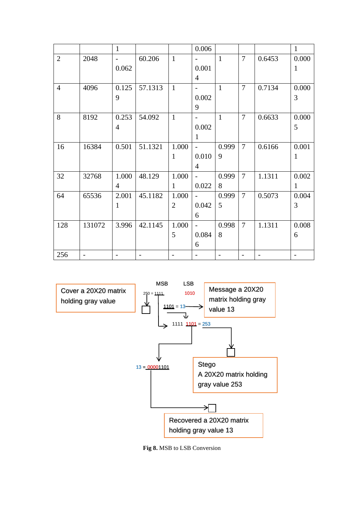|                |                | $\mathbf{1}$   |         |                          | 0.006                    |                          |                |        | $\mathbf{1}$             |
|----------------|----------------|----------------|---------|--------------------------|--------------------------|--------------------------|----------------|--------|--------------------------|
| $\overline{2}$ | 2048           | $\blacksquare$ | 60.206  | $\mathbf{1}$             |                          | $\mathbf{1}$             | $\overline{7}$ | 0.6453 | 0.000                    |
|                |                | 0.062          |         |                          | 0.001                    |                          |                |        | $\mathbf{1}$             |
|                |                |                |         |                          | $\overline{4}$           |                          |                |        |                          |
| $\overline{4}$ | 4096           | 0.125          | 57.1313 | $\mathbf{1}$             | $\overline{\phantom{a}}$ | $\mathbf{1}$             | $\overline{7}$ | 0.7134 | 0.000                    |
|                |                | 9              |         |                          | 0.002                    |                          |                |        | 3                        |
|                |                |                |         |                          | 9                        |                          |                |        |                          |
| 8              | 8192           | 0.253          | 54.092  | $\mathbf{1}$             | $\overline{\phantom{a}}$ | $\mathbf{1}$             | $\overline{7}$ | 0.6633 | 0.000                    |
|                |                | $\overline{4}$ |         |                          | 0.002                    |                          |                |        | 5                        |
|                |                |                |         |                          | 1                        |                          |                |        |                          |
| 16             | 16384          | 0.501          | 51.1321 | 1.000                    | $\overline{a}$           | 0.999                    | $\overline{7}$ | 0.6166 | 0.001                    |
|                |                |                |         | $\mathbf{1}$             | 0.010                    | 9                        |                |        | $\mathbf{1}$             |
|                |                |                |         |                          | $\overline{4}$           |                          |                |        |                          |
| 32             | 32768          | 1.000          | 48.129  | 1.000                    | $\overline{\phantom{a}}$ | 0.999                    | $\overline{7}$ | 1.1311 | 0.002                    |
|                |                | $\overline{4}$ |         | $\mathbf{1}$             | 0.022                    | 8                        |                |        | $\mathbf{1}$             |
| 64             | 65536          | 2.001          | 45.1182 | 1.000                    | $\overline{\phantom{0}}$ | 0.999                    | $\overline{7}$ | 0.5073 | 0.004                    |
|                |                | $\mathbf{1}$   |         | $\overline{2}$           | 0.042                    | 5                        |                |        | 3                        |
|                |                |                |         |                          | 6                        |                          |                |        |                          |
| 128            | 131072         | 3.996          | 42.1145 | 1.000                    | $\overline{\phantom{0}}$ | 0.998                    | $\overline{7}$ | 1.1311 | 0.008                    |
|                |                |                |         | 5                        | 0.084                    | 8                        |                |        | 6                        |
|                |                |                |         |                          | 6                        |                          |                |        |                          |
| 256            | $\overline{a}$ | $\overline{a}$ |         | $\overline{\phantom{0}}$ | $\overline{a}$           | $\overline{\phantom{0}}$ |                |        | $\overline{\phantom{0}}$ |



**Fig 8.** MSB to LSB Conversion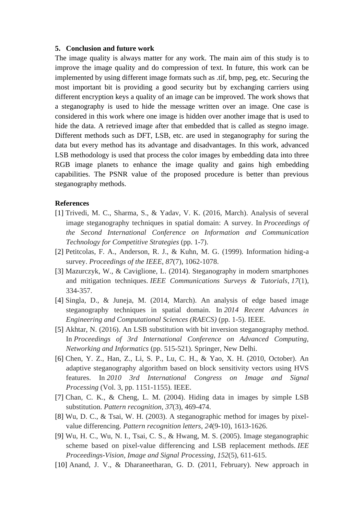#### **5. Conclusion and future work**

The image quality is always matter for any work. The main aim of this study is to improve the image quality and do compression of text. In future, this work can be implemented by using different image formats such as .tif, bmp, peg, etc. Securing the most important bit is providing a good security but by exchanging carriers using different encryption keys a quality of an image can be improved. The work shows that a steganography is used to hide the message written over an image. One case is considered in this work where one image is hidden over another image that is used to hide the data. A retrieved image after that embedded that is called as stegno image. Different methods such as DFT, LSB, etc. are used in steganography for suring the data but every method has its advantage and disadvantages. In this work, advanced LSB methodology is used that process the color images by embedding data into three RGB image planets to enhance the image quality and gains high embedding capabilities. The PSNR value of the proposed procedure is better than previous steganography methods.

#### **References**

- [1] Trivedi, M. C., Sharma, S., & Yadav, V. K. (2016, March). Analysis of several image steganography techniques in spatial domain: A survey. In *Proceedings of the Second International Conference on Information and Communication Technology for Competitive Strategies* (pp. 1-7).
- [2] Petitcolas, F. A., Anderson, R. J., & Kuhn, M. G. (1999). Information hiding-a survey. *Proceedings of the IEEE*, *87*(7), 1062-1078.
- [3] Mazurczyk, W., & Caviglione, L. (2014). Steganography in modern smartphones and mitigation techniques. *IEEE Communications Surveys & Tutorials*, *17*(1), 334-357.
- [4] Singla, D., & Juneja, M. (2014, March). An analysis of edge based image steganography techniques in spatial domain. In *2014 Recent Advances in Engineering and Computational Sciences (RAECS)* (pp. 1-5). IEEE.
- [5] Akhtar, N. (2016). An LSB substitution with bit inversion steganography method. In *Proceedings of 3rd International Conference on Advanced Computing, Networking and Informatics* (pp. 515-521). Springer, New Delhi.
- [6] Chen, Y. Z., Han, Z., Li, S. P., Lu, C. H., & Yao, X. H. (2010, October). An adaptive steganography algorithm based on block sensitivity vectors using HVS features. In *2010 3rd International Congress on Image and Signal Processing* (Vol. 3, pp. 1151-1155). IEEE.
- [7] Chan, C. K., & Cheng, L. M. (2004). Hiding data in images by simple LSB substitution. *Pattern recognition*, *37*(3), 469-474.
- [8] Wu, D. C., & Tsai, W. H. (2003). A steganographic method for images by pixelvalue differencing. *Pattern recognition letters*, *24*(9-10), 1613-1626.
- [9] Wu, H. C., Wu, N. I., Tsai, C. S., & Hwang, M. S. (2005). Image steganographic scheme based on pixel-value differencing and LSB replacement methods. *IEE Proceedings-Vision, Image and Signal Processing*, *152*(5), 611-615.
- [10] Anand, J. V., & Dharaneetharan, G. D. (2011, February). New approach in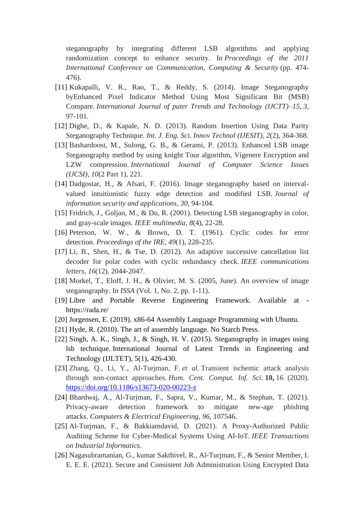steganography by integrating different LSB algorithms and applying randomization concept to enhance security. In *Proceedings of the 2011 International Conference on Communication, Computing & Security* (pp. 474- 476).

- [11] Kukapalli, V. R., Rao, T., & Reddy, S. (2014). Image Steganography byEnhanced Pixel Indicator Method Using Most Significant Bit (MSB) Compare. *International Journal of puter Trends and Technology (IJCTT)–15*, *3*, 97-101.
- [12] Dighe, D., & Kapale, N. D. (2013). Random Insertion Using Data Parity Steganography Technique. *Int. J. Eng. Sci. Innov Technol (IJESIT)*, *2*(2), 364-368.
- [13] Bashardoost, M., Sulong, G. B., & Gerami, P. (2013). Enhanced LSB image Steganography method by using knight Tour algorithm, Vigenere Encryption and LZW compression. *International Journal of Computer Science Issues (IJCSI)*, *10*(2 Part 1), 221.
- [14] Dadgostar, H., & Afsari, F. (2016). Image steganography based on intervalvalued intuitionistic fuzzy edge detection and modified LSB. *Journal of information security and applications*, *30*, 94-104.
- [15] Fridrich, J., Goljan, M., & Du, R. (2001). Detecting LSB steganography in color, and gray-scale images. *IEEE multimedia*, *8*(4), 22-28.
- [16] Peterson, W. W., & Brown, D. T. (1961). Cyclic codes for error detection. *Proceedings of the IRE*, *49*(1), 228-235.
- [17] Li, B., Shen, H., & Tse, D. (2012). An adaptive successive cancellation list decoder for polar codes with cyclic redundancy check. *IEEE communications letters*, *16*(12), 2044-2047.
- [18] Morkel, T., Eloff, J. H., & Olivier, M. S. (2005, June). An overview of image steganography. In *ISSA* (Vol. 1, No. 2, pp. 1-11).
- [19] Libre and Portable Reverse Engineering Framework. Available at <https://rada.re/>
- [20] Jorgensen, E. (2019). x86-64 Assembly Language Programming with Ubuntu.
- [21] Hyde, R. (2010). The art of assembly language. No Starch Press.
- [22] Singh, A. K., Singh, J., & Singh, H. V. (2015). Steganography in images using lsb technique. International Journal of Latest Trends in Engineering and Technology (IJLTET), 5(1), 426-430.
- [23] Zhang, Q., Li, Y., Al-Turjman, F. *et al.* Transient ischemic attack analysis through non-contact approaches. *Hum. Cent. Comput. Inf. Sci.* **10,** 16 (2020). <https://doi.org/10.1186/s13673-020-00223-z>
- [24] Bhardwaj, A., Al-Turjman, F., Sapra, V., Kumar, M., & Stephan, T. (2021). Privacy-aware detection framework to mitigate new-age phishing attacks. *Computers & Electrical Engineering*, *96*, 107546.
- [25] Al-Turjman, F., & Bakkiamdavid, D. (2021). A Proxy-Authorized Public Auditing Scheme for Cyber-Medical Systems Using AI-IoT. *IEEE Transactions on Industrial Informatics*.
- [26] Nagasubramanian, G., kumar Sakthivel, R., Al-Turjman, F., & Senior Member, I. E. E. E. (2021). Secure and Consistent Job Administration Using Encrypted Data